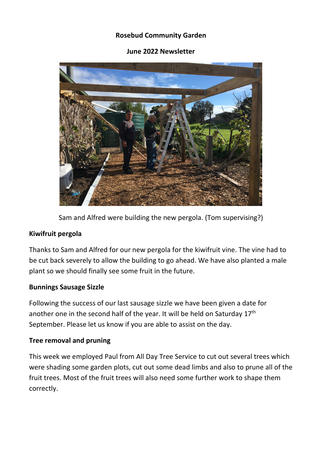### **Rosebud Community Garden**

#### **June 2022 Newsletter**



Sam and Alfred were building the new pergola. (Tom supervising?)

#### **Kiwifruit pergola**

Thanks to Sam and Alfred for our new pergola for the kiwifruit vine. The vine had to be cut back severely to allow the building to go ahead. We have also planted a male plant so we should finally see some fruit in the future.

#### **Bunnings Sausage Sizzle**

Following the success of our last sausage sizzle we have been given a date for another one in the second half of the year. It will be held on Saturday 17<sup>th</sup> September. Please let us know if you are able to assist on the day.

#### **Tree removal and pruning**

This week we employed Paul from All Day Tree Service to cut out several trees which were shading some garden plots, cut out some dead limbs and also to prune all of the fruit trees. Most of the fruit trees will also need some further work to shape them correctly.